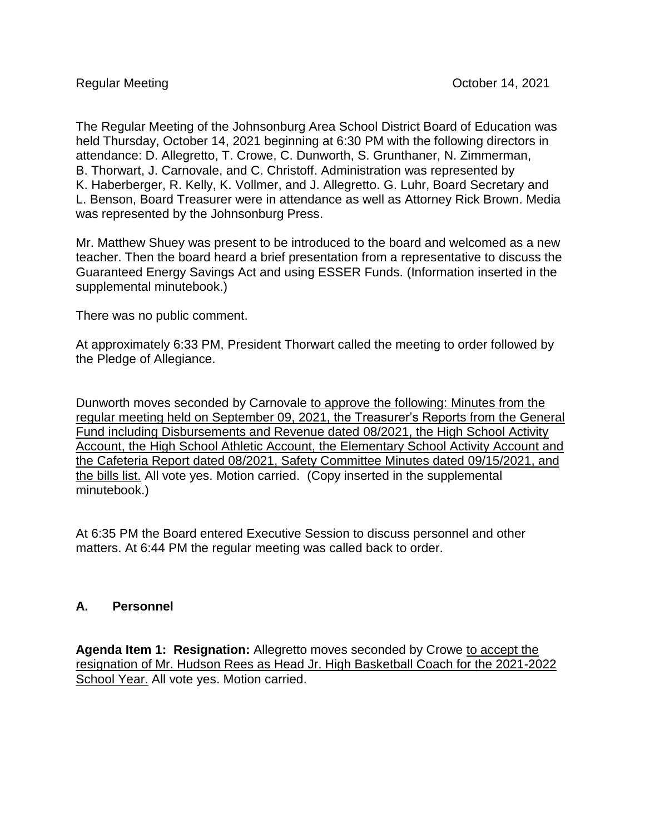The Regular Meeting of the Johnsonburg Area School District Board of Education was held Thursday, October 14, 2021 beginning at 6:30 PM with the following directors in attendance: D. Allegretto, T. Crowe, C. Dunworth, S. Grunthaner, N. Zimmerman, B. Thorwart, J. Carnovale, and C. Christoff. Administration was represented by K. Haberberger, R. Kelly, K. Vollmer, and J. Allegretto. G. Luhr, Board Secretary and L. Benson, Board Treasurer were in attendance as well as Attorney Rick Brown. Media was represented by the Johnsonburg Press.

Mr. Matthew Shuey was present to be introduced to the board and welcomed as a new teacher. Then the board heard a brief presentation from a representative to discuss the Guaranteed Energy Savings Act and using ESSER Funds. (Information inserted in the supplemental minutebook.)

There was no public comment.

At approximately 6:33 PM, President Thorwart called the meeting to order followed by the Pledge of Allegiance.

Dunworth moves seconded by Carnovale to approve the following: Minutes from the regular meeting held on September 09, 2021, the Treasurer's Reports from the General Fund including Disbursements and Revenue dated 08/2021, the High School Activity Account, the High School Athletic Account, the Elementary School Activity Account and the Cafeteria Report dated 08/2021, Safety Committee Minutes dated 09/15/2021, and the bills list. All vote yes. Motion carried. (Copy inserted in the supplemental minutebook.)

At 6:35 PM the Board entered Executive Session to discuss personnel and other matters. At 6:44 PM the regular meeting was called back to order.

## **A. Personnel**

**Agenda Item 1: Resignation:** Allegretto moves seconded by Crowe to accept the resignation of Mr. Hudson Rees as Head Jr. High Basketball Coach for the 2021-2022 School Year. All vote yes. Motion carried.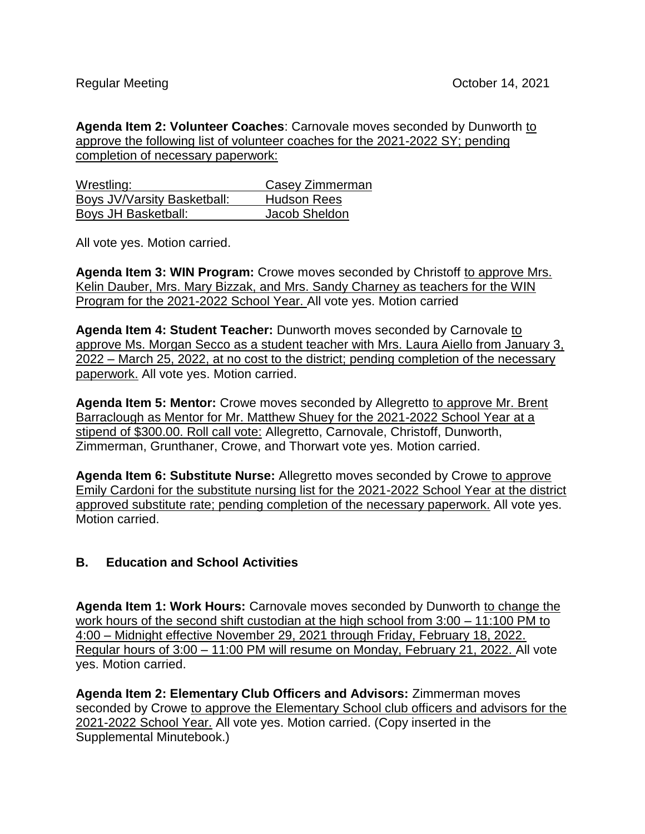**Agenda Item 2: Volunteer Coaches**: Carnovale moves seconded by Dunworth to approve the following list of volunteer coaches for the 2021-2022 SY; pending completion of necessary paperwork:

| Wrestling:                  | Casey Zimmerman    |
|-----------------------------|--------------------|
| Boys JV/Varsity Basketball: | <b>Hudson Rees</b> |
| Boys JH Basketball:         | Jacob Sheldon      |

All vote yes. Motion carried.

Agenda Item 3: WIN Program: Crowe moves seconded by Christoff to approve Mrs. Kelin Dauber, Mrs. Mary Bizzak, and Mrs. Sandy Charney as teachers for the WIN Program for the 2021-2022 School Year. All vote yes. Motion carried

**Agenda Item 4: Student Teacher:** Dunworth moves seconded by Carnovale to approve Ms. Morgan Secco as a student teacher with Mrs. Laura Aiello from January 3, 2022 – March 25, 2022, at no cost to the district; pending completion of the necessary paperwork. All vote yes. Motion carried.

**Agenda Item 5: Mentor:** Crowe moves seconded by Allegretto to approve Mr. Brent Barraclough as Mentor for Mr. Matthew Shuey for the 2021-2022 School Year at a stipend of \$300.00. Roll call vote: Allegretto, Carnovale, Christoff, Dunworth, Zimmerman, Grunthaner, Crowe, and Thorwart vote yes. Motion carried.

**Agenda Item 6: Substitute Nurse:** Allegretto moves seconded by Crowe to approve Emily Cardoni for the substitute nursing list for the 2021-2022 School Year at the district approved substitute rate; pending completion of the necessary paperwork. All vote yes. Motion carried.

## **B. Education and School Activities**

**Agenda Item 1: Work Hours:** Carnovale moves seconded by Dunworth to change the work hours of the second shift custodian at the high school from 3:00 – 11:100 PM to 4:00 – Midnight effective November 29, 2021 through Friday, February 18, 2022. Regular hours of 3:00 – 11:00 PM will resume on Monday, February 21, 2022. All vote yes. Motion carried.

**Agenda Item 2: Elementary Club Officers and Advisors:** Zimmerman moves seconded by Crowe to approve the Elementary School club officers and advisors for the 2021-2022 School Year. All vote yes. Motion carried. (Copy inserted in the Supplemental Minutebook.)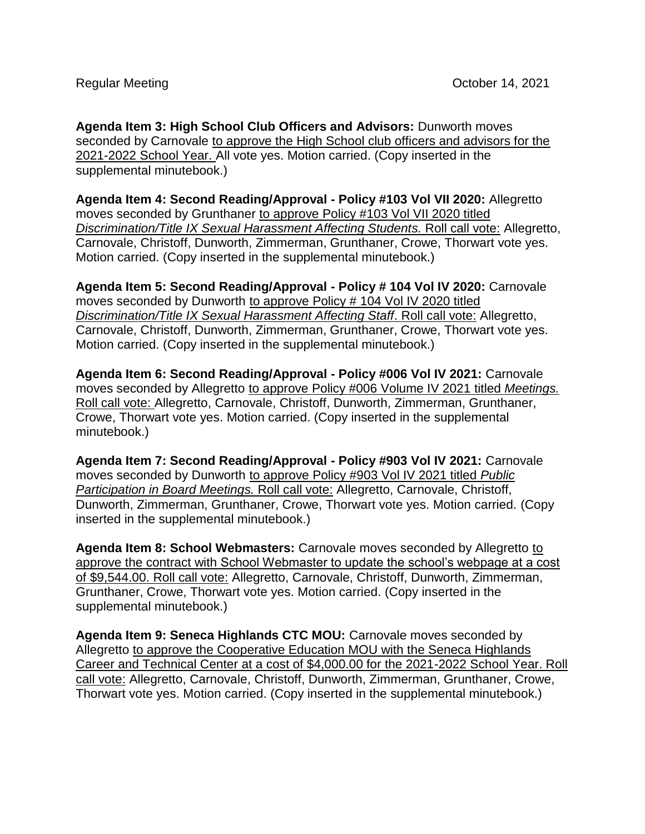**Agenda Item 3: High School Club Officers and Advisors:** Dunworth moves seconded by Carnovale to approve the High School club officers and advisors for the 2021-2022 School Year. All vote yes. Motion carried. (Copy inserted in the supplemental minutebook.)

**Agenda Item 4: Second Reading/Approval - Policy #103 Vol VII 2020:** Allegretto moves seconded by Grunthaner to approve Policy #103 Vol VII 2020 titled *Discrimination/Title IX Sexual Harassment Affecting Students.* Roll call vote: Allegretto, Carnovale, Christoff, Dunworth, Zimmerman, Grunthaner, Crowe, Thorwart vote yes. Motion carried. (Copy inserted in the supplemental minutebook.)

**Agenda Item 5: Second Reading/Approval - Policy # 104 Vol IV 2020:** Carnovale moves seconded by Dunworth to approve Policy # 104 Vol IV 2020 titled *Discrimination/Title IX Sexual Harassment Affecting Staff*. Roll call vote: Allegretto, Carnovale, Christoff, Dunworth, Zimmerman, Grunthaner, Crowe, Thorwart vote yes. Motion carried. (Copy inserted in the supplemental minutebook.)

**Agenda Item 6: Second Reading/Approval - Policy #006 Vol IV 2021:** Carnovale moves seconded by Allegretto to approve Policy #006 Volume IV 2021 titled *Meetings.*  Roll call vote: Allegretto, Carnovale, Christoff, Dunworth, Zimmerman, Grunthaner, Crowe, Thorwart vote yes. Motion carried. (Copy inserted in the supplemental minutebook.)

**Agenda Item 7: Second Reading/Approval - Policy #903 Vol IV 2021:** Carnovale moves seconded by Dunworth to approve Policy #903 Vol IV 2021 titled *Public Participation in Board Meetings.* Roll call vote: Allegretto, Carnovale, Christoff, Dunworth, Zimmerman, Grunthaner, Crowe, Thorwart vote yes. Motion carried. (Copy inserted in the supplemental minutebook.)

**Agenda Item 8: School Webmasters:** Carnovale moves seconded by Allegretto to approve the contract with School Webmaster to update the school's webpage at a cost of \$9,544.00. Roll call vote: Allegretto, Carnovale, Christoff, Dunworth, Zimmerman, Grunthaner, Crowe, Thorwart vote yes. Motion carried. (Copy inserted in the supplemental minutebook.)

**Agenda Item 9: Seneca Highlands CTC MOU:** Carnovale moves seconded by Allegretto to approve the Cooperative Education MOU with the Seneca Highlands Career and Technical Center at a cost of \$4,000.00 for the 2021-2022 School Year. Roll call vote: Allegretto, Carnovale, Christoff, Dunworth, Zimmerman, Grunthaner, Crowe, Thorwart vote yes. Motion carried. (Copy inserted in the supplemental minutebook.)